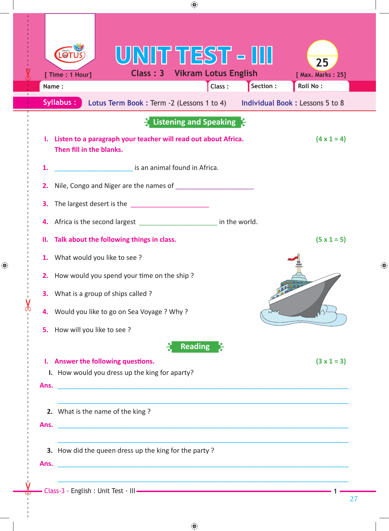| [ Time : 1 Hour]<br>Name:                                                                                                                                                                                            | <b>Class: 3 Vikram Lotus English</b><br>Class: | [ Max. Marks: 25]<br>Section :<br><b>Roll No:</b> |
|----------------------------------------------------------------------------------------------------------------------------------------------------------------------------------------------------------------------|------------------------------------------------|---------------------------------------------------|
| <b>Syllabus:</b><br>Lotus Term Book: Term -2 (Lessons 1 to 4)                                                                                                                                                        | Listening and Speaking                         | Individual Book: Lessons 5 to 8                   |
| Listen to a paragraph your teacher will read out about Africa.<br>Then fill in the blanks.                                                                                                                           |                                                | $(4 \times 1 = 4)$                                |
| is an animal found in Africa.<br>1.                                                                                                                                                                                  |                                                |                                                   |
| 2.                                                                                                                                                                                                                   |                                                |                                                   |
| The largest desert is the _____________________<br>3.                                                                                                                                                                |                                                |                                                   |
| Africa is the second largest _____________________________ in the world.<br>4.                                                                                                                                       |                                                |                                                   |
| Talk about the following things in class.<br>н.                                                                                                                                                                      |                                                | $(5 \times 1 = 5)$                                |
| What would you like to see?<br>1.                                                                                                                                                                                    |                                                |                                                   |
| How would you spend your time on the ship?<br>2.                                                                                                                                                                     |                                                |                                                   |
| <b>3.</b> What is a group of ships called?                                                                                                                                                                           |                                                |                                                   |
| 4. Would you like to go on Sea Voyage ? Why ?                                                                                                                                                                        |                                                |                                                   |
| How will you like to see?<br>5.                                                                                                                                                                                      |                                                |                                                   |
|                                                                                                                                                                                                                      | <b>Reading</b>                                 |                                                   |
| I. Answer the following questions.<br>I. How would you dress up the king for aparty?<br><u> 2000 - 2000 - 2000 - 2000 - 2000 - 2000 - 2000 - 2000 - 2000 - 2000 - 2000 - 2000 - 2000 - 2000 - 2000 - 200</u><br>Ans. |                                                | $(3x1=3)$                                         |
| 2. What is the name of the king?<br><u> 1989 - Johann John Stone, market fan it ferskearre fan it ferskearre fan it ferskearre fan it ferskearre fan i</u><br>Ans.                                                   |                                                |                                                   |
| 3. How did the queen dress up the king for the party?                                                                                                                                                                |                                                |                                                   |
|                                                                                                                                                                                                                      |                                                |                                                   |

 $\bigoplus$